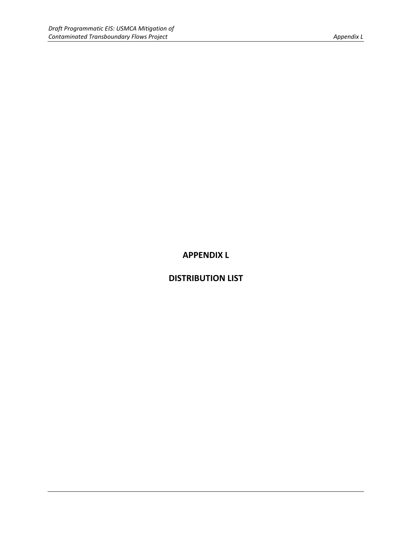# **APPENDIX L**

### **DISTRIBUTION LIST**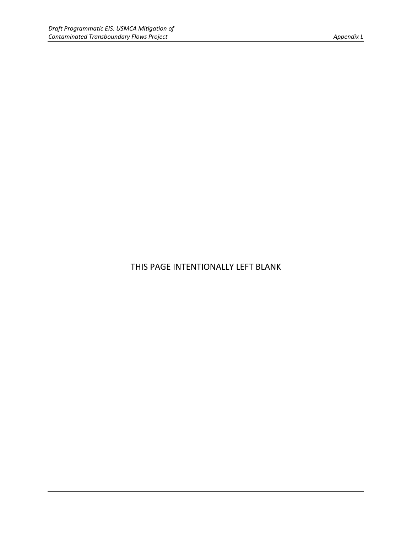## THIS PAGE INTENTIONALLY LEFT BLANK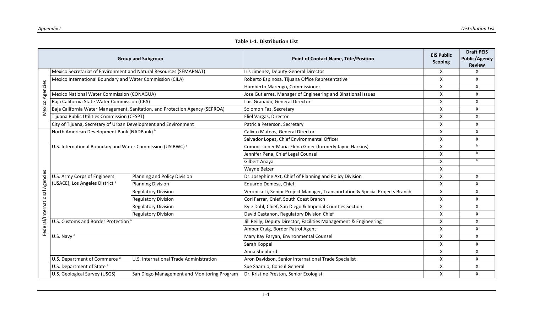|  | Table L-1. Distribution List |  |
|--|------------------------------|--|
|--|------------------------------|--|

|                                |                                                                              | <b>Group and Subgroup</b>                                          | <b>Point of Contact Name, Title/Position</b>                                  | <b>EIS Public</b><br><b>Scoping</b> | <b>Draft PEIS</b><br><b>Public/Agency</b><br><b>Review</b> |
|--------------------------------|------------------------------------------------------------------------------|--------------------------------------------------------------------|-------------------------------------------------------------------------------|-------------------------------------|------------------------------------------------------------|
|                                |                                                                              | Mexico Secretariat of Environment and Natural Resources (SEMARNAT) | Iris Jimenez, Deputy General Director                                         | $\mathsf{x}$                        | X                                                          |
|                                | Mexico International Boundary and Water Commission (CILA)                    |                                                                    | Roberto Espinosa, Tijuana Office Representative                               | Χ                                   | Χ                                                          |
|                                |                                                                              |                                                                    | Humberto Marengo, Commissioner                                                | Χ                                   | X                                                          |
| Agencies                       | Mexico National Water Commission (CONAGUA)                                   |                                                                    | Jose Gutierrez, Manager of Engineering and Binational Issues                  | Χ                                   | $\pmb{\times}$                                             |
|                                | Baja California State Water Commission (CEA)                                 |                                                                    | Luis Granado, General Director                                                | X                                   | X                                                          |
| Mexico                         | Baja California Water Management, Sanitation, and Protection Agency (SEPROA) |                                                                    | Solomon Faz, Secretary                                                        | Χ                                   | Χ                                                          |
|                                | Tijuana Public Utilities Commission (CESPT)                                  |                                                                    | Eliel Vargas, Director                                                        | X                                   | Χ                                                          |
|                                | City of Tijuana, Secretary of Urban Development and Environment              |                                                                    | Patricia Peterson, Secretary                                                  | X                                   | X                                                          |
|                                | North American Development Bank (NADBank) <sup>a</sup>                       |                                                                    | Calixto Mateos, General Director                                              | X                                   | Χ                                                          |
|                                |                                                                              |                                                                    | Salvador Lopez, Chief Environmental Officer                                   | Χ                                   | $\pmb{\times}$                                             |
|                                | U.S. International Boundary and Water Commission (USIBWC) <sup>a</sup>       |                                                                    | Commissioner Maria-Elena Giner (formerly Jayne Harkins)                       | X                                   | b                                                          |
|                                |                                                                              |                                                                    | Jennifer Pena, Chief Legal Counsel                                            | X                                   | h                                                          |
|                                |                                                                              |                                                                    | Gilbert Anaya                                                                 | Χ                                   | h                                                          |
|                                |                                                                              |                                                                    | Wayne Belzer                                                                  | Χ                                   |                                                            |
|                                | U.S. Army Corps of Engineers                                                 | Planning and Policy Division                                       | Dr. Josephine Axt, Chief of Planning and Policy Division                      | X                                   | X                                                          |
|                                | (USACE), Los Angeles District <sup>a</sup>                                   | <b>Planning Division</b>                                           | Eduardo Demesa, Chief                                                         | X                                   | Χ                                                          |
|                                |                                                                              | <b>Regulatory Division</b>                                         | Veronica Li, Senior Project Manager, Transportation & Special Projects Branch | X                                   | X                                                          |
|                                |                                                                              | <b>Regulatory Division</b>                                         | Cori Farrar, Chief, South Coast Branch                                        | X                                   | Χ                                                          |
|                                |                                                                              | <b>Regulatory Division</b>                                         | Kyle Dahl, Chief, San Diego & Imperial Counties Section                       | Χ                                   | $\pmb{\times}$                                             |
|                                |                                                                              | <b>Regulatory Division</b>                                         | David Castanon, Regulatory Division Chief                                     | X                                   | Χ                                                          |
|                                | U.S. Customs and Border Protection <sup>a</sup>                              |                                                                    | Jill Reilly, Deputy Director, Facilities Management & Engineering             | X                                   | X                                                          |
| Federal/International Agencies |                                                                              |                                                                    | Amber Craig, Border Patrol Agent                                              | Х                                   | Χ                                                          |
|                                | U.S. Navy <sup>a</sup>                                                       |                                                                    | Mary Kay Faryan, Environmental Counsel                                        | X                                   | $\pmb{\times}$                                             |
|                                |                                                                              |                                                                    | Sarah Koppel                                                                  | Χ                                   | $\pmb{\mathsf{X}}$                                         |
|                                |                                                                              |                                                                    | Anna Shepherd                                                                 | X                                   | X                                                          |
|                                | U.S. Department of Commerce <sup>a</sup>                                     | U.S. International Trade Administration                            | Aron Davidson, Senior International Trade Specialist                          | X                                   | X                                                          |
|                                | U.S. Department of State <sup>a</sup>                                        |                                                                    | Sue Saarnio, Consul General                                                   | Х                                   | Χ                                                          |
|                                | U.S. Geological Survey (USGS)                                                | San Diego Management and Monitoring Program                        | Dr. Kristine Preston, Senior Ecologist                                        | $\pmb{\times}$                      | $\pmb{\mathsf{X}}$                                         |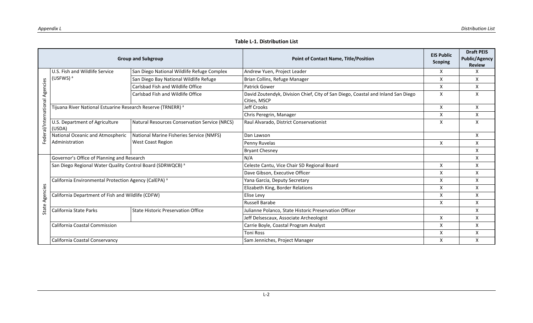|                                |                                                                         | <b>Group and Subgroup</b>                            | <b>Point of Contact Name, Title/Position</b>                                                     | <b>EIS Public</b><br><b>Scoping</b> | <b>Draft PEIS</b><br><b>Public/Agency</b><br><b>Review</b> |
|--------------------------------|-------------------------------------------------------------------------|------------------------------------------------------|--------------------------------------------------------------------------------------------------|-------------------------------------|------------------------------------------------------------|
|                                | U.S. Fish and Wildlife Service                                          | San Diego National Wildlife Refuge Complex           | Andrew Yuen, Project Leader                                                                      | X                                   | X                                                          |
|                                | (USFWS) <sup>a</sup>                                                    | San Diego Bay National Wildlife Refuge               | Brian Collins, Refuge Manager                                                                    | X                                   | $\boldsymbol{\mathsf{x}}$                                  |
|                                |                                                                         | Carlsbad Fish and Wildlife Office                    | Patrick Gower                                                                                    | X                                   | X                                                          |
| Federal/International Agencies |                                                                         | Carlsbad Fish and Wildlife Office                    | David Zoutendyk, Division Chief, City of San Diego, Coastal and Inland San Diego<br>Cities, MSCP | X                                   | X                                                          |
|                                | Tijuana River National Estuarine Research Reserve (TRNERR) <sup>a</sup> |                                                      | Jeff Crooks                                                                                      | X                                   | X                                                          |
|                                |                                                                         |                                                      | Chris Peregrin, Manager                                                                          | X                                   | X                                                          |
|                                | U.S. Department of Agriculture<br>(USDA)                                | <b>Natural Resources Conservation Service (NRCS)</b> | Raul Alvarado, District Conservationist                                                          | X                                   | X                                                          |
|                                | National Oceanic and Atmospheric                                        | National Marine Fisheries Service (NMFS)             | Dan Lawson                                                                                       |                                     | X                                                          |
|                                | Administration                                                          | <b>West Coast Region</b>                             | Penny Ruvelas                                                                                    | X                                   | X                                                          |
|                                |                                                                         |                                                      | <b>Bryant Chesney</b>                                                                            |                                     | $\boldsymbol{\mathsf{x}}$                                  |
|                                | Governor's Office of Planning and Research                              |                                                      | N/A                                                                                              |                                     | X                                                          |
|                                | San Diego Regional Water Quality Control Board (SDRWQCB) <sup>a</sup>   |                                                      | Celeste Cantu, Vice Chair SD Regional Board                                                      | X                                   | $\boldsymbol{\mathsf{x}}$                                  |
|                                |                                                                         |                                                      | Dave Gibson, Executive Officer                                                                   | X                                   | X                                                          |
|                                | California Environmental Protection Agency (CalEPA) <sup>a</sup>        |                                                      | Yana Garcia, Deputy Secretary                                                                    | X                                   | X                                                          |
| State Agencies                 |                                                                         |                                                      | Elizabeth King, Border Relations                                                                 | X                                   | X                                                          |
|                                | California Department of Fish and Wildlife (CDFW)                       |                                                      | Elise Levy                                                                                       | X                                   | $\boldsymbol{\mathsf{x}}$                                  |
|                                |                                                                         |                                                      | <b>Russell Barabe</b>                                                                            | X                                   | X                                                          |
|                                | California State Parks                                                  | <b>State Historic Preservation Office</b>            | Julianne Polanco, State Historic Preservation Officer                                            |                                     | $\boldsymbol{\mathsf{x}}$                                  |
|                                |                                                                         |                                                      | Jeff Delsescaux, Associate Archeologist                                                          | X                                   | X                                                          |
|                                | California Coastal Commission                                           |                                                      | Carrie Boyle, Coastal Program Analyst                                                            | X                                   | $\boldsymbol{\mathsf{x}}$                                  |
|                                |                                                                         |                                                      | <b>Toni Ross</b>                                                                                 | X                                   | х                                                          |
|                                | California Coastal Conservancy                                          |                                                      | Sam Jenniches, Project Manager                                                                   | X                                   | X                                                          |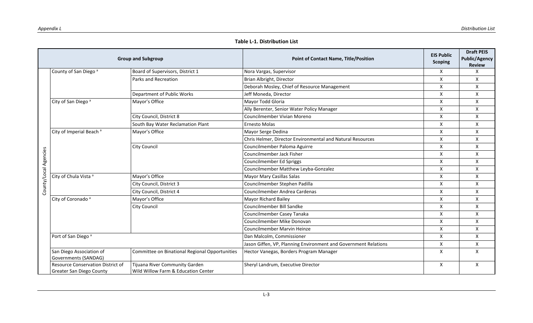|                       |                                                                             | <b>Group and Subgroup</b>                                             | <b>Point of Contact Name, Title/Position</b>                    | <b>EIS Public</b><br><b>Scoping</b> | <b>Draft PEIS</b><br><b>Public/Agency</b><br><b>Review</b> |
|-----------------------|-----------------------------------------------------------------------------|-----------------------------------------------------------------------|-----------------------------------------------------------------|-------------------------------------|------------------------------------------------------------|
|                       | County of San Diego <sup>a</sup>                                            | Board of Supervisors, District 1                                      | Nora Vargas, Supervisor                                         | X                                   | $\mathsf{X}$                                               |
|                       |                                                                             | Parks and Recreation                                                  | Brian Albright, Director                                        | X                                   | X                                                          |
|                       |                                                                             |                                                                       | Deborah Mosley, Chief of Resource Management                    | X                                   | $\boldsymbol{\mathsf{X}}$                                  |
|                       |                                                                             | Department of Public Works                                            | Jeff Moneda, Director                                           | X                                   | $\boldsymbol{\mathsf{X}}$                                  |
|                       | City of San Diego <sup>a</sup>                                              | Mayor's Office                                                        | Mayor Todd Gloria                                               | X                                   | $\boldsymbol{\mathsf{X}}$                                  |
|                       |                                                                             |                                                                       | Ally Berenter, Senior Water Policy Manager                      | Χ                                   | X                                                          |
|                       |                                                                             | City Council, District 8                                              | Councilmember Vivian Moreno                                     | X                                   | X                                                          |
|                       |                                                                             | South Bay Water Reclamation Plant                                     | <b>Ernesto Molas</b>                                            | X                                   | X                                                          |
|                       | City of Imperial Beach <sup>a</sup>                                         | Mayor's Office                                                        | Mayor Serge Dedina                                              | X                                   | X                                                          |
|                       |                                                                             |                                                                       | Chris Helmer, Director Environmental and Natural Resources      | X                                   | $\pmb{\times}$                                             |
|                       |                                                                             | <b>City Council</b>                                                   | Councilmember Paloma Aguirre                                    | X                                   | X                                                          |
|                       |                                                                             |                                                                       | Councilmember Jack Fisher                                       | X                                   | X                                                          |
| County/Local Agencies |                                                                             |                                                                       | Councilmember Ed Spriggs                                        | X                                   | X                                                          |
|                       |                                                                             |                                                                       | Councilmember Matthew Leyba-Gonzalez                            | X                                   | X                                                          |
|                       | City of Chula Vista <sup>a</sup>                                            | Mayor's Office                                                        | Mayor Mary Casillas Salas                                       | X                                   | X                                                          |
|                       |                                                                             | City Council, District 3                                              | Councilmember Stephen Padilla                                   | X                                   | X                                                          |
|                       |                                                                             | City Council, District 4                                              | Councilmember Andrea Cardenas                                   | X                                   | X                                                          |
|                       | City of Coronado <sup>a</sup>                                               | Mayor's Office                                                        | Mayor Richard Bailey                                            | X                                   | $\pmb{\times}$                                             |
|                       |                                                                             | <b>City Council</b>                                                   | Councilmember Bill Sandke                                       | X                                   | $\pmb{\times}$                                             |
|                       |                                                                             |                                                                       | Councilmember Casey Tanaka                                      | X                                   | X                                                          |
|                       |                                                                             |                                                                       | Councilmember Mike Donovan                                      | X                                   | X                                                          |
|                       |                                                                             |                                                                       | Councilmember Marvin Heinze                                     | $\pmb{\times}$                      | $\mathsf{x}$                                               |
|                       | Port of San Diego <sup>a</sup>                                              |                                                                       | Dan Malcolm, Commissioner                                       | X                                   | X                                                          |
|                       |                                                                             |                                                                       | Jason Giffen, VP, Planning Environment and Government Relations | X                                   | X                                                          |
|                       | San Diego Association of<br>Governments (SANDAG)                            | Committee on Binational Regional Opportunities                        | Hector Vanegas, Borders Program Manager                         | X                                   | X                                                          |
|                       | <b>Resource Conservation District of</b><br><b>Greater San Diego County</b> | Tijuana River Community Garden<br>Wild Willow Farm & Education Center | Sheryl Landrum, Executive Director                              | X                                   | X                                                          |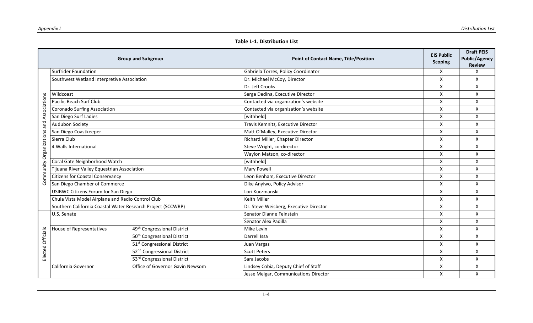| <b>Group and Subgroup</b> |                                                             |                                         | <b>Point of Contact Name, Title/Position</b> | <b>EIS Public</b><br><b>Scoping</b> | <b>Draft PEIS</b><br><b>Public/Agency</b><br><b>Review</b> |
|---------------------------|-------------------------------------------------------------|-----------------------------------------|----------------------------------------------|-------------------------------------|------------------------------------------------------------|
|                           | <b>Surfrider Foundation</b>                                 |                                         | Gabriela Torres, Policy Coordinator          | X                                   | X                                                          |
|                           | Southwest Wetland Interpretive Association                  |                                         | Dr. Michael McCoy, Director                  | X                                   | $\pmb{\times}$                                             |
|                           |                                                             |                                         | Dr. Jeff Crooks                              | X                                   | X                                                          |
|                           | Wildcoast                                                   |                                         | Serge Dedina, Executive Director             | X                                   | X                                                          |
| Associations              | Pacific Beach Surf Club                                     |                                         | Contacted via organization's website         | X                                   | X                                                          |
|                           | <b>Coronado Surfing Association</b>                         |                                         | Contacted via organization's website         | X                                   | X                                                          |
|                           | San Diego Surf Ladies                                       |                                         | [withheld]                                   | X                                   | X                                                          |
| and                       | Audubon Society                                             |                                         | Travis Kemnitz, Executive Director           | X                                   | X                                                          |
|                           | San Diego Coastkeeper                                       |                                         | Matt O'Malley, Executive Director            | X                                   | $\pmb{\times}$                                             |
|                           | Sierra Club                                                 |                                         | Richard Miller, Chapter Director             | Χ                                   | X                                                          |
|                           | 4 Walls International                                       |                                         | Steve Wright, co-director                    | Χ                                   | $\pmb{\times}$                                             |
|                           |                                                             |                                         | Waylon Matson, co-director                   | X                                   | X                                                          |
|                           | Coral Gate Neighborhood Watch                               |                                         | [withheld]                                   | X                                   | $\boldsymbol{\mathsf{X}}$                                  |
|                           | Tijuana River Valley Equestrian Association                 |                                         | Mary Powell                                  | X                                   | X                                                          |
| Community Organizations   | <b>Citizens for Coastal Conservancy</b>                     |                                         | Leon Benham, Executive Director              | X                                   | $\pmb{\times}$                                             |
|                           | San Diego Chamber of Commerce                               |                                         | Dike Anyiwo, Policy Advisor                  | X                                   | X                                                          |
|                           | USIBWC Citizens Forum for San Diego                         |                                         | Lori Kuczmanski                              | X                                   | $\boldsymbol{\mathsf{X}}$                                  |
|                           | Chula Vista Model Airplane and Radio Control Club           |                                         | Keith Miller                                 | X                                   | X                                                          |
|                           | Southern California Coastal Water Research Project (SCCWRP) |                                         | Dr. Steve Weisberg, Executive Director       | X                                   | $\mathsf{x}$                                               |
|                           | U.S. Senate                                                 |                                         | Senator Dianne Feinstein                     | X                                   | $\pmb{\times}$                                             |
|                           |                                                             |                                         | Senator Alex Padilla                         | X                                   | $\pmb{\times}$                                             |
|                           | <b>House of Representatives</b>                             | 49 <sup>th</sup> Congressional District | Mike Levin                                   | X                                   | X                                                          |
|                           |                                                             | 50 <sup>th</sup> Congressional District | Darrell Issa                                 | X                                   | X                                                          |
|                           |                                                             | 51st Congressional District             | Juan Vargas                                  | X                                   | X                                                          |
| Elected Officials         |                                                             | 52 <sup>nd</sup> Congressional District | <b>Scott Peters</b>                          | X                                   | $\pmb{\times}$                                             |
|                           |                                                             | 53rd Congressional District             | Sara Jacobs                                  | X                                   | X                                                          |
|                           | California Governor                                         | Office of Governor Gavin Newsom         | Lindsey Cobia, Deputy Chief of Staff         | X                                   | X                                                          |
|                           |                                                             |                                         | Jesse Melgar, Communications Director        | X                                   | $\pmb{\times}$                                             |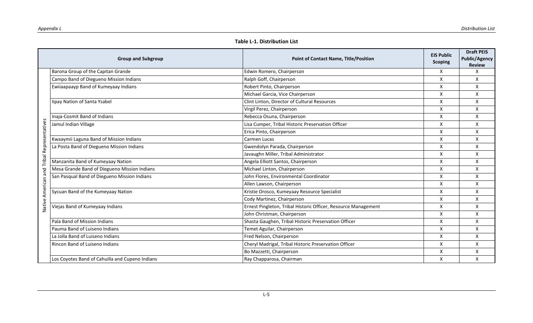|                                            | <b>Group and Subgroup</b>                       | <b>Point of Contact Name, Title/Position</b>                   | <b>EIS Public</b><br><b>Scoping</b> | <b>Draft PEIS</b><br><b>Public/Agency</b><br><b>Review</b> |
|--------------------------------------------|-------------------------------------------------|----------------------------------------------------------------|-------------------------------------|------------------------------------------------------------|
|                                            | Barona Group of the Capitan Grande              | Edwin Romero, Chairperson                                      | х                                   | X                                                          |
|                                            | Campo Band of Diegueno Mission Indians          | Ralph Goff, Chairperson                                        | X                                   | X                                                          |
|                                            | Ewiiaapaayp Band of Kumeyaay Indians            | Robert Pinto, Chairperson                                      | X                                   | X                                                          |
|                                            |                                                 | Michael Garcia, Vice Chairperson                               | X                                   | X                                                          |
|                                            | lipay Nation of Santa Ysabel                    | Clint Linton, Director of Cultural Resources                   | X                                   | $\boldsymbol{\mathsf{X}}$                                  |
|                                            |                                                 | Virgil Perez, Chairperson                                      | X                                   | X                                                          |
|                                            | Inaja-Cosmit Band of Indians                    | Rebecca Osuna, Chairperson                                     | X                                   | $\mathsf{x}$                                               |
|                                            | Jamul Indian Village                            | Lisa Cumper, Tribal Historic Preservation Officer              | X                                   | X                                                          |
| Native American and Tribal Representatives |                                                 | Erica Pinto, Chairperson                                       | X                                   | X                                                          |
|                                            | Kwaaymii Laguna Band of Mission Indians         | Carmen Lucas                                                   | X                                   | X                                                          |
|                                            | La Posta Band of Diegueno Mission Indians       | Gwendolyn Parada, Chairperson                                  | X                                   | X                                                          |
|                                            |                                                 | Javaughn Miller, Tribal Administrator                          | X                                   | X                                                          |
|                                            | Manzanita Band of Kumeyaay Nation               | Angela Elliott Santos, Chairperson                             | X                                   | X                                                          |
|                                            | Mesa Grande Band of Diegueno Mission Indians    | Michael Linton, Chairperson                                    | X                                   | X                                                          |
|                                            | San Pasqual Band of Diegueno Mission Indians    | John Flores, Environmental Coordinator                         | X                                   | X                                                          |
|                                            |                                                 | Allen Lawson, Chairperson                                      | X                                   | X                                                          |
|                                            | Sycuan Band of the Kumeyaay Nation              | Kristie Orosco, Kumeyaay Resource Specialist                   | X                                   | X                                                          |
|                                            |                                                 | Cody Martinez, Chairperson                                     | X                                   | $\boldsymbol{\mathsf{X}}$                                  |
|                                            | Viejas Band of Kumeyaay Indians                 | Ernest Pingleton, Tribal Historic Officer, Resource Management | X                                   | X                                                          |
|                                            |                                                 | John Christman, Chairperson                                    | Χ                                   | X                                                          |
|                                            | Pala Band of Mission Indians                    | Shasta Gaughen, Tribal Historic Preservation Officer           | X                                   | $\mathsf{X}$                                               |
|                                            | Pauma Band of Luiseno Indians                   | Temet Aguilar, Chairperson                                     | X                                   | X                                                          |
|                                            | La Jolla Band of Luiseno Indians                | Fred Nelson, Chairperson                                       | X                                   | $\boldsymbol{\mathsf{X}}$                                  |
|                                            | Rincon Band of Luiseno Indians                  | Cheryl Madrigal, Tribal Historic Preservation Officer          | X                                   | X                                                          |
|                                            |                                                 | Bo Mazzetti, Chairperson                                       | X                                   | X                                                          |
|                                            | Los Coyotes Band of Cahuilla and Cupeno Indians | Ray Chapparosa, Chairman                                       | X                                   | X                                                          |